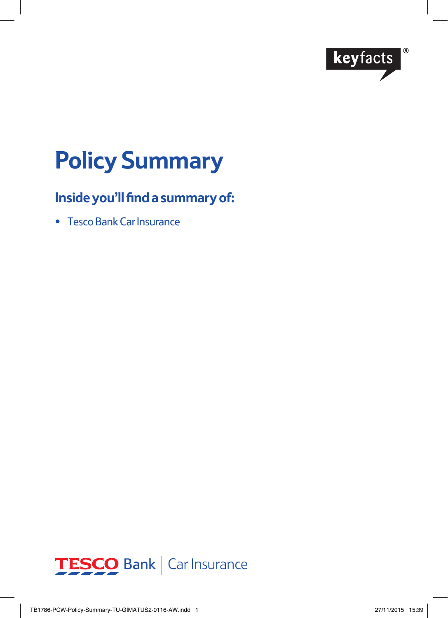

# **Policy Summary**

# **Inside you'll find a summary of:**

• Tesco Bank Car Insurance

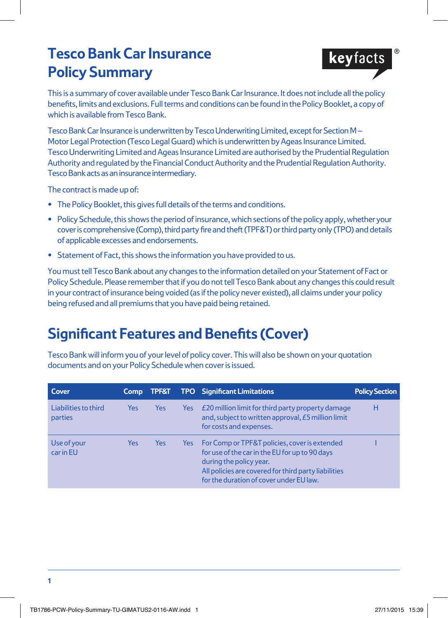# **Tesco Bank Car Insurance Policy Summary**



This is a summary of cover available under Tesco Bank Car Insurance. It does not include all the policy benefits, limits and exclusions. Full terms and conditions can be found in the Policy Booklet, a copy of which is available from Tesco Bank.

Tesco Bank Car Insurance is underwritten by Tesco Underwriting Limited, except for Section M – Motor Legal Protection (Tesco Legal Guard) which is underwritten by Ageas Insurance Limited. Tesco Underwriting Limited and Ageas Insurance Limited are authorised by the Prudential Regulation Authority and regulated by the Financial Conduct Authority and the Prudential Regulation Authority. Tesco Bank acts as an insurance intermediary.

The contract is made up of:

- **•** The Policy Booklet, this gives full details of the terms and conditions.
- **•** Policy Schedule, this shows the period of insurance, which sections of the policy apply, whether your cover is comprehensive (Comp), third party fire and theft (TPF&T) or third party only (TPO) and details of applicable excesses and endorsements.
- **•** Statement of Fact, this shows the information you have provided to us.

You must tell Tesco Bank about any changes to the information detailed on your Statement of Fact or Policy Schedule. Please remember that if you do not tell Tesco Bank about any changes this could result in your contract of insurance being voided (as if the policy never existed), all claims under your policy being refused and all premiums that you have paid being retained.

# **Significant Features and Benefits (Cover)**

Tesco Bank will inform you of your level of policy cover. This will also be shown on your quotation documents and on your Policy Schedule when cover is issued.

| Cover                           | <b>Comp</b> | <b>TPF&amp;T</b> |     | <b>TPO</b> Significant Limitations                                                                                                                                                                                            | <b>Policy Section</b> |
|---------------------------------|-------------|------------------|-----|-------------------------------------------------------------------------------------------------------------------------------------------------------------------------------------------------------------------------------|-----------------------|
| Liabilities to third<br>parties | Yes         | Yes              | Yes | £20 million limit for third party property damage<br>and, subject to written approval, £5 million limit<br>for costs and expenses.                                                                                            | н                     |
| Use of your<br>car in EU        | Yes         | Yes              | Yes | For Comp or TPF&T policies, cover is extended<br>for use of the car in the EU for up to 90 days<br>during the policy year.<br>All policies are covered for third party liabilities<br>for the duration of cover under EU law. |                       |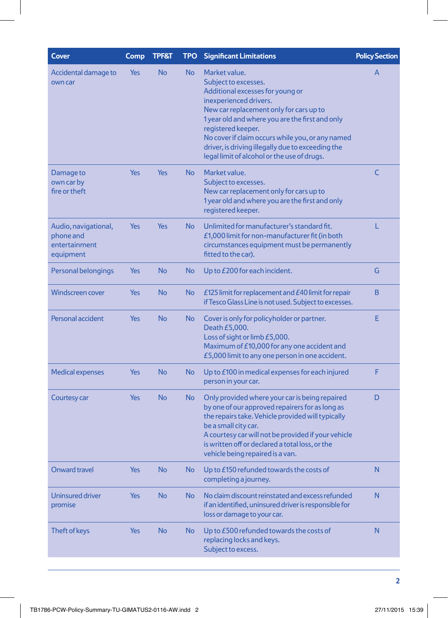| Cover                                                           | <b>Comp</b> | <b>TPF&amp;T</b> | <b>TPO</b> | <b>Significant Limitations</b>                                                                                                                                                                                                                                                                                                                                                  | <b>Policy Section</b> |
|-----------------------------------------------------------------|-------------|------------------|------------|---------------------------------------------------------------------------------------------------------------------------------------------------------------------------------------------------------------------------------------------------------------------------------------------------------------------------------------------------------------------------------|-----------------------|
| Accidental damage to<br>own car                                 | Yes         | <b>No</b>        | No         | Market value.<br>Subject to excesses.<br>Additional excesses for young or<br>inexperienced drivers.<br>New car replacement only for cars up to<br>1 year old and where you are the first and only<br>registered keeper.<br>No cover if claim occurs while you, or any named<br>driver, is driving illegally due to exceeding the<br>legal limit of alcohol or the use of drugs. | A                     |
| Damage to<br>own car by<br>fire or theft                        | Yes         | <b>Yes</b>       | No         | Market value.<br>Subject to excesses.<br>New car replacement only for cars up to<br>1 year old and where you are the first and only<br>registered keeper.                                                                                                                                                                                                                       | C                     |
| Audio, navigational,<br>phone and<br>entertainment<br>equipment | Yes         | Yes              | No         | Unlimited for manufacturer's standard fit.<br>£1,000 limit for non-manufacturer fit (in both<br>circumstances equipment must be permanently<br>fitted to the car).                                                                                                                                                                                                              | L                     |
| Personal belongings                                             | Yes         | <b>No</b>        | No         | Up to £200 for each incident.                                                                                                                                                                                                                                                                                                                                                   | G                     |
| <b>Windscreen cover</b>                                         | Yes         | <b>No</b>        | No         | £125 limit for replacement and $E40$ limit for repair<br>if Tesco Glass Line is not used. Subject to excesses.                                                                                                                                                                                                                                                                  | B                     |
| Personal accident                                               | <b>Yes</b>  | <b>No</b>        | No         | Cover is only for policyholder or partner.<br>Death £5,000.<br>Loss of sight or limb £5,000.<br>Maximum of £10,000 for any one accident and<br>£5,000 limit to any one person in one accident.                                                                                                                                                                                  | Е                     |
| <b>Medical expenses</b>                                         | Yes         | <b>No</b>        | No         | Up to £100 in medical expenses for each injured<br>person in your car.                                                                                                                                                                                                                                                                                                          | F                     |
| Courtesy car                                                    | Yes         | <b>No</b>        | No         | Only provided where your car is being repaired<br>by one of our approved repairers for as long as<br>the repairs take. Vehicle provided will typically<br>be a small city car.<br>A courtesy car will not be provided if your vehicle<br>is written off or declared a total loss, or the<br>vehicle being repaired is a van.                                                    | D                     |
| <b>Onward travel</b>                                            | Yes         | <b>No</b>        | No         | Up to £150 refunded towards the costs of<br>completing a journey.                                                                                                                                                                                                                                                                                                               | N                     |
| Uninsured driver<br>promise                                     | Yes         | <b>No</b>        | No         | No claim discount reinstated and excess refunded<br>if an identified, uninsured driver is responsible for<br>loss or damage to your car.                                                                                                                                                                                                                                        | N                     |
| Theft of keys                                                   | Yes         | <b>No</b>        | No         | Up to £500 refunded towards the costs of<br>replacing locks and keys.<br>Subject to excess.                                                                                                                                                                                                                                                                                     | N                     |
|                                                                 |             |                  |            |                                                                                                                                                                                                                                                                                                                                                                                 |                       |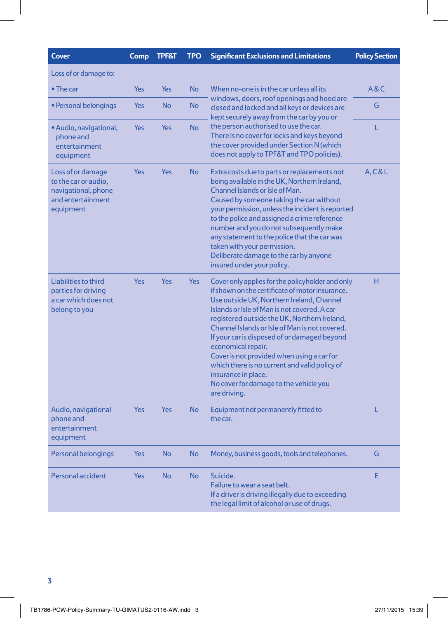| <b>Cover</b>                                                                                       | Comp       | <b>TPF&amp;T</b> | <b>TPO</b> | <b>Significant Exclusions and Limitations</b>                                                                                                                                                                                                                                                                                                                                                                                                                                                                                                            | <b>Policy Section</b> |
|----------------------------------------------------------------------------------------------------|------------|------------------|------------|----------------------------------------------------------------------------------------------------------------------------------------------------------------------------------------------------------------------------------------------------------------------------------------------------------------------------------------------------------------------------------------------------------------------------------------------------------------------------------------------------------------------------------------------------------|-----------------------|
| Loss of or damage to:                                                                              |            |                  |            |                                                                                                                                                                                                                                                                                                                                                                                                                                                                                                                                                          |                       |
| $\bullet$ The car                                                                                  | <b>Yes</b> | Yes              | <b>No</b>  | When no-one is in the car unless all its<br>windows, doors, roof openings and hood are<br>closed and locked and all keys or devices are<br>kept securely away from the car by you or                                                                                                                                                                                                                                                                                                                                                                     | A&C                   |
| • Personal belongings                                                                              | <b>Yes</b> | <b>No</b>        | <b>No</b>  |                                                                                                                                                                                                                                                                                                                                                                                                                                                                                                                                                          | G                     |
| • Audio, navigational,<br>phone and<br>entertainment<br>equipment                                  | <b>Yes</b> | Yes              | <b>No</b>  | the person authorised to use the car.<br>There is no cover for locks and keys beyond<br>the cover provided under Section N (which<br>does not apply to TPF&T and TPO policies).                                                                                                                                                                                                                                                                                                                                                                          | L                     |
| Loss of or damage<br>to the car or audio,<br>navigational, phone<br>and entertainment<br>equipment | <b>Yes</b> | Yes              | <b>No</b>  | Extra costs due to parts or replacements not<br>being available in the UK, Northern Ireland,<br>Channel Islands or Isle of Man.<br>Caused by someone taking the car without<br>your permission, unless the incident is reported<br>to the police and assigned a crime reference<br>number and you do not subsequently make<br>any statement to the police that the car was<br>taken with your permission.<br>Deliberate damage to the car by anyone<br>insured under your policy.                                                                        | A, C & L              |
| Liabilities to third<br>parties for driving<br>a car which does not<br>belong to you               | <b>Yes</b> | Yes              | Yes        | Cover only applies for the policyholder and only<br>if shown on the certificate of motor insurance.<br>Use outside UK, Northern Ireland, Channel<br>Islands or Isle of Man is not covered. A car<br>registered outside the UK, Northern Ireland,<br>Channel Islands or Isle of Man is not covered.<br>If your car is disposed of or damaged beyond<br>economical repair.<br>Cover is not provided when using a car for<br>which there is no current and valid policy of<br>insurance in place.<br>No cover for damage to the vehicle you<br>are driving. | H                     |
| Audio, navigational<br>phone and<br>entertainment<br>equipment                                     | <b>Yes</b> | Yes              | <b>No</b>  | Equipment not permanently fitted to<br>the car.                                                                                                                                                                                                                                                                                                                                                                                                                                                                                                          | L                     |
| Personal belongings                                                                                | <b>Yes</b> | <b>No</b>        | <b>No</b>  | Money, business goods, tools and telephones.                                                                                                                                                                                                                                                                                                                                                                                                                                                                                                             | G                     |
| Personal accident                                                                                  | <b>Yes</b> | <b>No</b>        | <b>No</b>  | Suicide.<br>Failure to wear a seat belt.<br>If a driver is driving illegally due to exceeding<br>the legal limit of alcohol or use of drugs.                                                                                                                                                                                                                                                                                                                                                                                                             | E                     |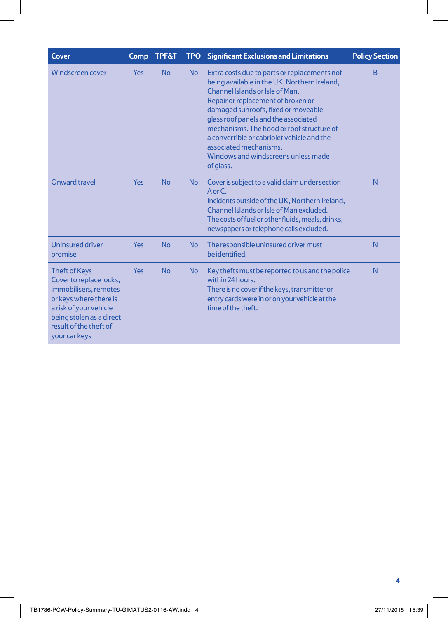| <b>Cover</b>                                                                                                                                                                                        | Comp       | <b>TPF&amp;T</b> |           | TPO Significant Exclusions and Limitations                                                                                                                                                                                                                                                                                                                                                                                    | <b>Policy Section</b> |
|-----------------------------------------------------------------------------------------------------------------------------------------------------------------------------------------------------|------------|------------------|-----------|-------------------------------------------------------------------------------------------------------------------------------------------------------------------------------------------------------------------------------------------------------------------------------------------------------------------------------------------------------------------------------------------------------------------------------|-----------------------|
| Windscreen cover                                                                                                                                                                                    | <b>Yes</b> | <b>No</b>        | <b>No</b> | Extra costs due to parts or replacements not<br>being available in the UK, Northern Ireland,<br>Channel Islands or Isle of Man.<br>Repair or replacement of broken or<br>damaged sunroofs, fixed or moveable<br>glass roof panels and the associated<br>mechanisms. The hood or roof structure of<br>a convertible or cabriolet vehicle and the<br>associated mechanisms.<br>Windows and windscreens unless made<br>of glass. | B                     |
| Onward travel                                                                                                                                                                                       | Yes        | <b>No</b>        | <b>No</b> | Cover is subject to a valid claim under section<br>$A$ or $C$ .<br>Incidents outside of the UK, Northern Ireland,<br>Channel Islands or Isle of Man excluded.<br>The costs of fuel or other fluids, meals, drinks,<br>newspapers or telephone calls excluded.                                                                                                                                                                 | N                     |
| <b>Uninsured driver</b><br>promise                                                                                                                                                                  | <b>Yes</b> | <b>No</b>        | <b>No</b> | The responsible uninsured driver must<br>be identified.                                                                                                                                                                                                                                                                                                                                                                       | N                     |
| <b>Theft of Keys</b><br>Cover to replace locks,<br>immobilisers, remotes<br>or keys where there is<br>a risk of your vehicle<br>being stolen as a direct<br>result of the theft of<br>your car keys | Yes        | <b>No</b>        | <b>No</b> | Key thefts must be reported to us and the police<br>within 24 hours.<br>There is no cover if the keys, transmitter or<br>entry cards were in or on your vehicle at the<br>time of the theft.                                                                                                                                                                                                                                  |                       |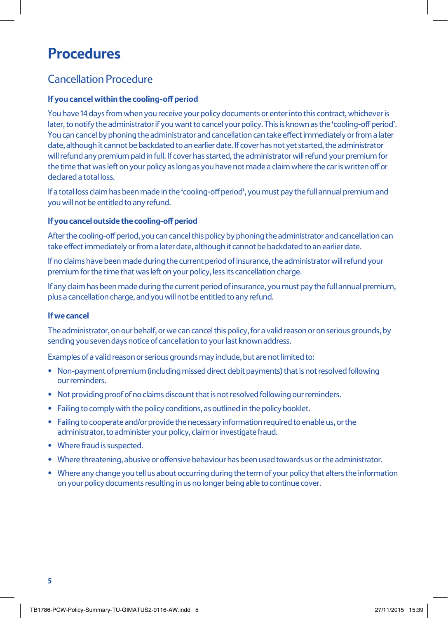# **Procedures**

## Cancellation Procedure

### **If you cancel within the cooling-off period**

You have 14 days from when you receive your policy documents or enter into this contract, whichever is later, to notify the administrator if you want to cancel your policy. This is known as the 'cooling-off period'. You can cancel by phoning the administrator and cancellation can take effect immediately or from a later date, although it cannot be backdated to an earlier date. If cover has not yet started, the administrator will refund any premium paid in full. If cover has started, the administrator will refund your premium for the time that was left on your policy as long as you have not made a claim where the car is written off or declared a total loss.

If a total loss claim has been made in the 'cooling-off period', you must pay the full annual premium and you will not be entitled to any refund.

#### **If you cancel outside the cooling-off period**

After the cooling-off period, you can cancel this policy by phoning the administrator and cancellation can take effect immediately or from a later date, although it cannot be backdated to an earlier date.

If no claims have been made during the current period of insurance, the administrator will refund your premium for the time that was left on your policy, less its cancellation charge.

If any claim has been made during the current period of insurance, you must pay the full annual premium, plus a cancellation charge, and you will not be entitled to any refund.

#### **If we cancel**

The administrator, on our behalf, or we can cancel this policy, for a valid reason or on serious grounds, by sending you seven days notice of cancellation to your last known address.

Examples of a valid reason or serious grounds may include, but are not limited to:

- Non-payment of premium (including missed direct debit payments) that is not resolved following our reminders.
- Not providing proof of no claims discount that is not resolved following our reminders.
- Failing to comply with the policy conditions, as outlined in the policy booklet.
- Failing to cooperate and/or provide the necessary information required to enable us, or the administrator, to administer your policy, claim or investigate fraud.
- Where fraud is suspected.
- Where threatening, abusive or offensive behaviour has been used towards us or the administrator.
- Where any change you tell us about occurring during the term of your policy that alters the information on your policy documents resulting in us no longer being able to continue cover.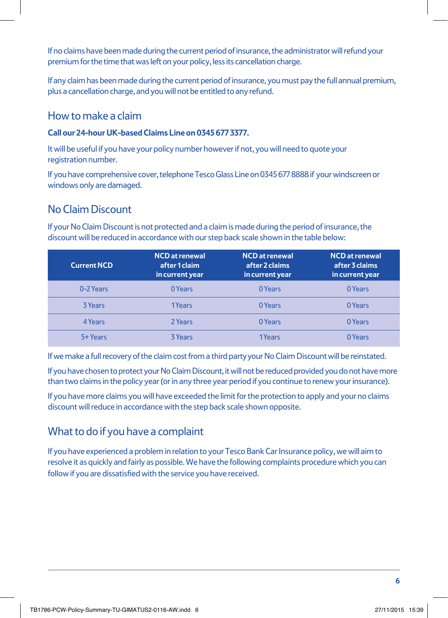If no claims have been made during the current period of insurance, the administrator will refund your premium for the time that was left on your policy, less its cancellation charge.

If any claim has been made during the current period of insurance, you must pay the full annual premium, plus a cancellation charge, and you will not be entitled to any refund.

### How to make a claim

#### **Call our 24-hour UK-based Claims Line on 0345 677 3377.**

It will be useful if you have your policy number however if not, you will need to quote your registration number.

If you have comprehensive cover, telephone Tesco Glass Line on 0345 677 8888 if your windscreen or windows only are damaged.

# No Claim Discount

If your No Claim Discount is not protected and a claim is made during the period of insurance, the discount will be reduced in accordance with our step back scale shown in the table below:

| <b>Current NCD</b> | <b>NCD</b> at renewal<br>after 1 claim<br>in current year | <b>NCD</b> at renewal<br>after 2 claims<br>in current year | <b>NCD</b> at renewal<br>after 3 claims<br>in current year |
|--------------------|-----------------------------------------------------------|------------------------------------------------------------|------------------------------------------------------------|
| 0-2 Years          | 0 Years                                                   | 0 Years                                                    | 0 Years                                                    |
| 3 Years            | 1Years                                                    | 0 Years                                                    | 0 Years                                                    |
| 4 Years            | 2 Years                                                   | 0 Years                                                    | 0 Years                                                    |
| 5+ Years           | <b>3 Years</b>                                            | 1Years                                                     | 0 Years                                                    |

If we make a full recovery of the claim cost from a third party your No Claim Discount will be reinstated.

If you have chosen to protect your No Claim Discount, it will not be reduced provided you do not have more than two claims in the policy year (or in any three year period if you continue to renew your insurance).

If you have more claims you will have exceeded the limit for the protection to apply and your no claims discount will reduce in accordance with the step back scale shown opposite.

### What to do if you have a complaint

If you have experienced a problem in relation to your Tesco Bank Car Insurance policy, we will aim to resolve it as quickly and fairly as possible. We have the following complaints procedure which you can follow if you are dissatisfied with the service you have received.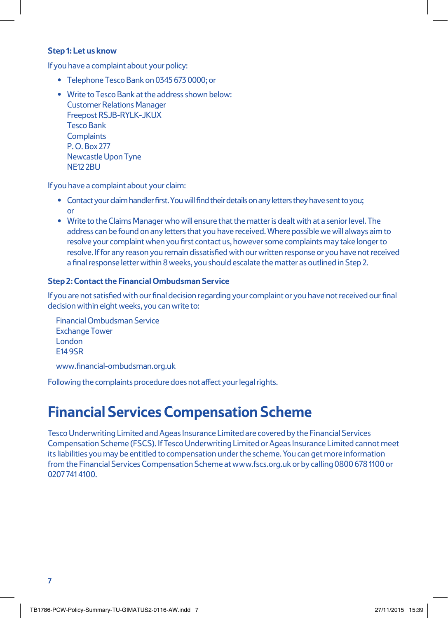#### **Step 1: Let us know**

If you have a complaint about your policy:

- Telephone Tesco Bank on 0345 673 0000; or
- Write to Tesco Bank at the address shown below: Customer Relations Manager Freepost RSJB-RYLK-JKUX Tesco Bank **Complaints** P. O. Box 277 Newcastle Upon Tyne NE12 2BU

If you have a complaint about your claim:

- Contact your claim handler first. You will find their details on any letters they have sent to you; or
- Write to the Claims Manager who will ensure that the matter is dealt with at a senior level. The address can be found on any letters that you have received. Where possible we will always aim to resolve your complaint when you first contact us, however some complaints may take longer to resolve. If for any reason you remain dissatisfied with our written response or you have not received a final response letter within 8 weeks, you should escalate the matter as outlined in Step 2.

### **Step 2: Contact the Financial Ombudsman Service**

If you are not satisfied with our final decision regarding your complaint or you have not received our final decision within eight weeks, you can write to:

Financial Ombudsman Service Exchange Tower London E14 9SR

www.financial-ombudsman.org.uk

Following the complaints procedure does not affect your legal rights.

# **Financial Services Compensation Scheme**

Tesco Underwriting Limited and Ageas Insurance Limited are covered by the Financial Services Compensation Scheme (FSCS). If Tesco Underwriting Limited or Ageas Insurance Limited cannot meet its liabilities you may be entitled to compensation under the scheme. You can get more information from the Financial Services Compensation Scheme at www.fscs.org.uk or by calling 0800 678 1100 or 0207 741 4100.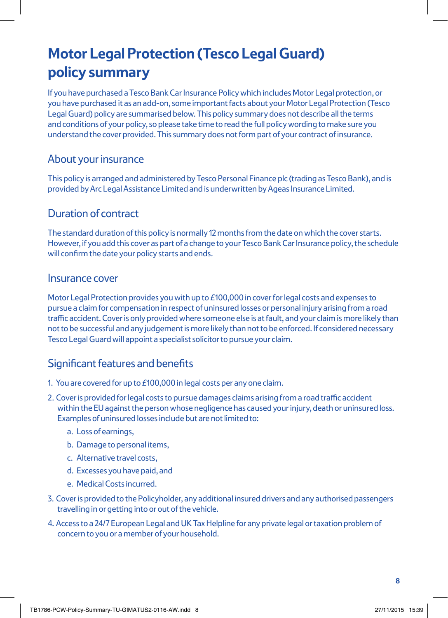# **Motor Legal Protection (Tesco Legal Guard) policy summary**

If you have purchased a Tesco Bank Car Insurance Policy which includes Motor Legal protection, or you have purchased it as an add-on, some important facts about your Motor Legal Protection (Tesco Legal Guard) policy are summarised below. This policy summary does not describe all the terms and conditions of your policy, so please take time to read the full policy wording to make sure you understand the cover provided. This summary does not form part of your contract of insurance.

### About your insurance

This policy is arranged and administered by Tesco Personal Finance plc (trading as Tesco Bank), and is provided by Arc Legal Assistance Limited and is underwritten by Ageas Insurance Limited.

### Duration of contract

The standard duration of this policy is normally 12 months from the date on which the cover starts. However, if you add this cover as part of a change to your Tesco Bank Car Insurance policy, the schedule will confirm the date your policy starts and ends.

### Insurance cover

Motor Legal Protection provides you with up to £100,000 in cover for legal costs and expenses to pursue a claim for compensation in respect of uninsured losses or personal injury arising from a road traffic accident. Cover is only provided where someone else is at fault, and your claim is more likely than not to be successful and any judgement is more likely than not to be enforced. If considered necessary Tesco Legal Guard will appoint a specialist solicitor to pursue your claim.

## Significant features and benefits

- 1. You are covered for up to £100,000 in legal costs per any one claim.
- 2. Cover is provided for legal costs to pursue damages claims arising from a road traffic accident within the EU against the person whose negligence has caused your injury, death or uninsured loss. Examples of uninsured losses include but are not limited to:
	- a. Loss of earnings,
	- b. Damage to personal items,
	- c. Alternative travel costs,
	- d. Excesses you have paid, and
	- e. Medical Costs incurred.
- 3. Cover is provided to the Policyholder, any additional insured drivers and any authorised passengers travelling in or getting into or out of the vehicle.
- 4. Access to a 24/7 European Legal and UK Tax Helpline for any private legal or taxation problem of concern to you or a member of your household.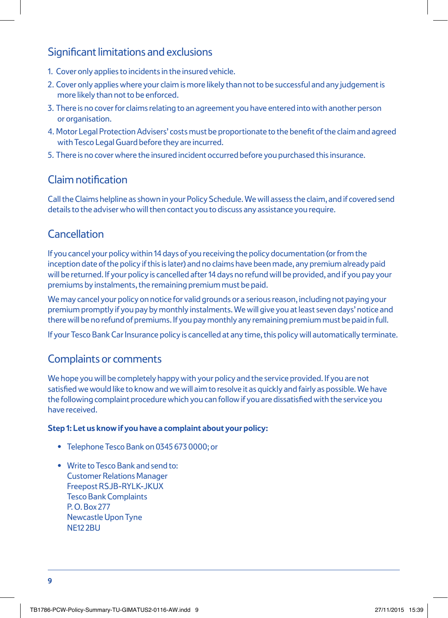## Significant limitations and exclusions

- 1. Cover only applies to incidents in the insured vehicle.
- 2. Cover only applies where your claim is more likely than not to be successful and any judgement is more likely than not to be enforced.
- 3. There is no cover for claims relating to an agreement you have entered into with another person or organisation.
- 4. Motor Legal Protection Advisers' costs must be proportionate to the benefit of the claim and agreed with Tesco Legal Guard before they are incurred.
- 5. There is no cover where the insured incident occurred before you purchased this insurance.

## Claim notification

Call the Claims helpline as shown in your Policy Schedule. We will assess the claim, and if covered send details to the adviser who will then contact you to discuss any assistance you require.

## Cancellation

If you cancel your policy within 14 days of you receiving the policy documentation (or from the inception date of the policy if this is later) and no claims have been made, any premium already paid will be returned. If your policy is cancelled after 14 days no refund will be provided, and if you pay your premiums by instalments, the remaining premium must be paid.

We may cancel your policy on notice for valid grounds or a serious reason, including not paying your premium promptly if you pay by monthly instalments. We will give you at least seven days' notice and there will be no refund of premiums. If you pay monthly any remaining premium must be paid in full.

If your Tesco Bank Car Insurance policy is cancelled at any time, this policy will automatically terminate.

### Complaints or comments

We hope you will be completely happy with your policy and the service provided. If you are not satisfied we would like to know and we will aim to resolve it as quickly and fairly as possible. We have the following complaint procedure which you can follow if you are dissatisfied with the service you have received.

#### **Step 1: Let us know if you have a complaint about your policy:**

- Telephone Tesco Bank on 0345 673 0000; or
- Write to Tesco Bank and send to: Customer Relations Manager Freepost RSJB-RYLK-JKUX Tesco Bank Complaints P. O. Box 277 Newcastle Upon Tyne **NF12 2BU**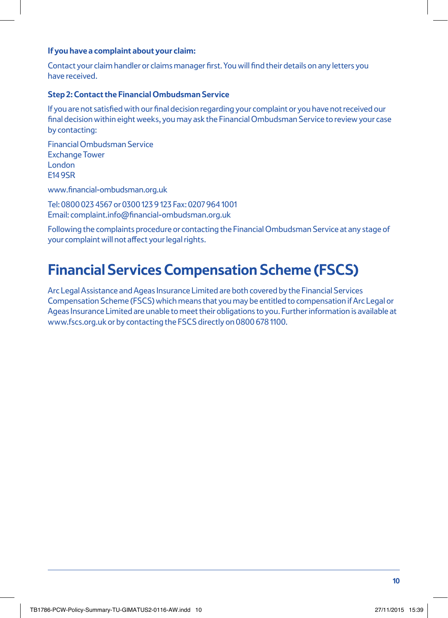#### **If you have a complaint about your claim:**

Contact your claim handler or claims manager first. You will find their details on any letters you have received.

#### **Step 2: Contact the Financial Ombudsman Service**

If you are not satisfied with our final decision regarding your complaint or you have not received our final decision within eight weeks, you may ask the Financial Ombudsman Service to review your case by contacting:

Financial Ombudsman Service Exchange Tower London E14 9SR

www.financial-ombudsman.org.uk

Tel: 0800 023 4567 or 0300 123 9 123 Fax: 0207 964 1001 Email: complaint.info@financial-ombudsman.org.uk

Following the complaints procedure or contacting the Financial Ombudsman Service at any stage of your complaint will not affect your legal rights.

# **Financial Services Compensation Scheme (FSCS)**

Arc Legal Assistance and Ageas Insurance Limited are both covered by the Financial Services Compensation Scheme (FSCS) which means that you may be entitled to compensation if Arc Legal or Ageas Insurance Limited are unable to meet their obligations to you. Further information is available at www.fscs.org.uk or by contacting the FSCS directly on 0800 678 1100.